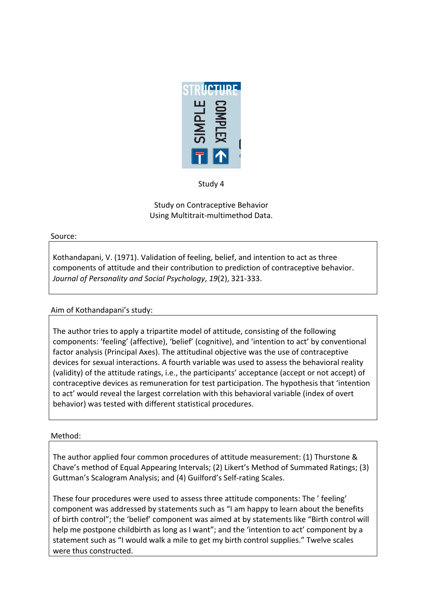

Study 4

Study on Contraceptive Behavior Using Multitrait-multimethod Data.

#### Source:

Kothandapani, V. (1971). Validation of feeling, belief, and intention to act as three components of attitude and their contribution to prediction of contraceptive behavior. *Journal of Personality and Social Psychology, 19(2), 321-333.* 

# Aim of Kothandapani's study:

The author tries to apply a tripartite model of attitude, consisting of the following components: 'feeling' (affective), 'belief' (cognitive), and 'intention to act' by conventional factor analysis (Principal Axes). The attitudinal objective was the use of contraceptive devices for sexual interactions. A fourth variable was used to assess the behavioral reality (validity) of the attitude ratings, i.e., the participants' acceptance (accept or not accept) of contraceptive devices as remuneration for test participation. The hypothesis that 'intention to act' would reveal the largest correlation with this behavioral variable (index of overt behavior) was tested with different statistical procedures.

## Method:

The author applied four common procedures of attitude measurement: (1) Thurstone & Chave's method of Equal Appearing Intervals; (2) Likert's Method of Summated Ratings; (3) Guttman's Scalogram Analysis; and (4) Guilford's Self-rating Scales.

These four procedures were used to assess three attitude components: The ' feeling' component was addressed by statements such as "I am happy to learn about the benefits of birth control"; the 'belief' component was aimed at by statements like "Birth control will help me postpone childbirth as long as I want"; and the 'intention to act' component by a statement such as "I would walk a mile to get my birth control supplies." Twelve scales were thus constructed.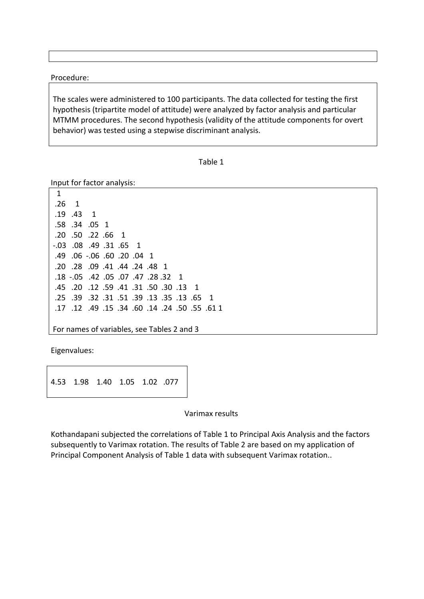Procedure:

The scales were administered to 100 participants. The data collected for testing the first hypothesis (tripartite model of attitude) were analyzed by factor analysis and particular MTMM procedures. The second hypothesis (validity of the attitude components for overt behavior) was tested using a stepwise discriminant analysis.

```
Table 1
```
Input for factor analysis:

!!1  $.26 \quad 1$ .19 .43 1 .58 .34 .05 1 .20 .50 .22 .66 1  $-0.03$   $.08$   $.49$   $.31$   $.65$  1 .49 .06 .06 .60 .00 .04 1 .20 .28 .09 .41 .44 .24 .48 1 .18 .05 .42 .05 .07 .47 .28 .32 1 .45 .20 .12 .59 .41 .31 .50 .30 .13 1 .25 .39 .32 .31 .51 .39 .13 .35 .13 .65 1 .17 .12 .49 .15 .34 .60 .14 .24 .50 .55 .61 1

For names of variables, see Tables 2 and 3

Eigenvalues:

4.53 1.98 1.40 1.05 1.02 .077

Varimax results

Kothandapani subjected the correlations of Table 1 to Principal Axis Analysis and the factors subsequently to Varimax rotation. The results of Table 2 are based on my application of Principal Component Analysis of Table 1 data with subsequent Varimax rotation..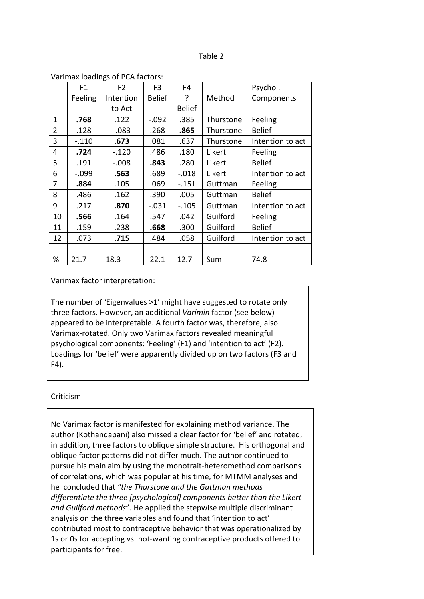#### Table 2

|                | F1       | F <sub>2</sub> | F <sub>3</sub> | F <sub>4</sub> |           | Psychol.         |
|----------------|----------|----------------|----------------|----------------|-----------|------------------|
|                | Feeling  | Intention      | <b>Belief</b>  | ?              | Method    | Components       |
|                |          | to Act         |                | <b>Belief</b>  |           |                  |
| 1              | .768     | .122           | $-.092$        | .385           | Thurstone | Feeling          |
| $\overline{2}$ | .128     | $-.083$        | .268           | .865           | Thurstone | <b>Belief</b>    |
| 3              | $-.110$  | .673           | .081           | .637           | Thurstone | Intention to act |
| 4              | .724     | $-.120$        | .486           | .180           | Likert    | Feeling          |
| 5              | .191     | $-.008$        | .843           | .280           | Likert    | <b>Belief</b>    |
| 6              | $-0.099$ | .563           | .689           | $-0.018$       | Likert    | Intention to act |
| 7              | .884     | .105           | .069           | $-0.151$       | Guttman   | Feeling          |
| 8              | .486     | .162           | .390           | .005           | Guttman   | <b>Belief</b>    |
| 9              | .217     | .870           | $-.031$        | $-0.105$       | Guttman   | Intention to act |
| 10             | .566     | .164           | .547           | .042           | Guilford  | Feeling          |
| 11             | .159     | .238           | .668           | .300           | Guilford  | <b>Belief</b>    |
| 12             | .073     | .715           | .484           | .058           | Guilford  | Intention to act |
|                |          |                |                |                |           |                  |
| %              | 21.7     | 18.3           | 22.1           | 12.7           | Sum       | 74.8             |

#### Varimax loadings of PCA factors:

#### Varimax factor interpretation:

The number of 'Eigenvalues >1' might have suggested to rotate only three factors. However, an additional *Varimin* factor (see below) appeared to be interpretable. A fourth factor was, therefore, also Varimax-rotated. Only two Varimax factors revealed meaningful psychological components: 'Feeling' (F1) and 'intention to act' (F2). Loadings for 'belief' were apparently divided up on two factors (F3 and  $F4$ ).

### Criticism

No Varimax factor is manifested for explaining method variance. The author (Kothandapani) also missed a clear factor for 'belief' and rotated, in addition, three factors to oblique simple structure. His orthogonal and oblique factor patterns did not differ much. The author continued to pursue his main aim by using the monotrait-heteromethod comparisons of correlations, which was popular at his time, for MTMM analyses and he concluded that "the Thurstone and the Guttman methods *differentiate the three [psychological] components better than the Likert* and Guilford methods". He applied the stepwise multiple discriminant analysis on the three variables and found that 'intention to act' contributed most to contraceptive behavior that was operationalized by 1s or 0s for accepting vs. not-wanting contraceptive products offered to participants for free.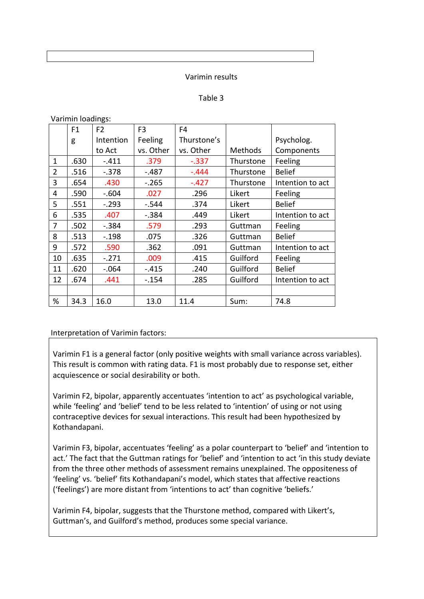#### Varimin results

### Table 3

| F1   | F <sub>2</sub> | F <sub>3</sub> | F4          |           |                  |
|------|----------------|----------------|-------------|-----------|------------------|
| g    | Intention      | Feeling        | Thurstone's |           | Psycholog.       |
|      | to Act         | vs. Other      | vs. Other   | Methods   | Components       |
| .630 | $-411$         | .379           | $-.337$     | Thurstone | Feeling          |
| .516 | $-.378$        | $-.487$        | $-.444$     | Thurstone | <b>Belief</b>    |
| .654 | .430           | $-.265$        | $-.427$     | Thurstone | Intention to act |
| .590 | $-.604$        | .027           | .296        | Likert    | Feeling          |
| .551 | $-.293$        | $-.544$        | .374        | Likert    | <b>Belief</b>    |
| .535 | .407           | $-.384$        | .449        | Likert    | Intention to act |
| .502 | $-.384$        | .579           | .293        | Guttman   | Feeling          |
| .513 | $-198$         | .075           | .326        | Guttman   | <b>Belief</b>    |
| .572 | .590           | .362           | .091        | Guttman   | Intention to act |
| .635 | $-.271$        | .009           | .415        | Guilford  | Feeling          |
| .620 | $-.064$        | $-415$         | .240        | Guilford  | <b>Belief</b>    |
| .674 | .441           | $-154$         | .285        | Guilford  | Intention to act |
|      |                |                |             |           |                  |
| 34.3 | 16.0           | 13.0           | 11.4        | Sum:      | 74.8             |
|      |                |                |             |           |                  |

Varimin loadings:

Interpretation of Varimin factors:

Varimin F1 is a general factor (only positive weights with small variance across variables). This result is common with rating data. F1 is most probably due to response set, either acquiescence or social desirability or both.

Varimin F2, bipolar, apparently accentuates 'intention to act' as psychological variable, while 'feeling' and 'belief' tend to be less related to 'intention' of using or not using contraceptive devices for sexual interactions. This result had been hypothesized by Kothandapani.

Varimin F3, bipolar, accentuates 'feeling' as a polar counterpart to 'belief' and 'intention to act.' The fact that the Guttman ratings for 'belief' and 'intention to act 'in this study deviate from the three other methods of assessment remains unexplained. The oppositeness of 'feeling' vs. 'belief' fits Kothandapani's model, which states that affective reactions ('feelings') are more distant from 'intentions to act' than cognitive 'beliefs.'

Varimin F4, bipolar, suggests that the Thurstone method, compared with Likert's, Guttman's, and Guilford's method, produces some special variance.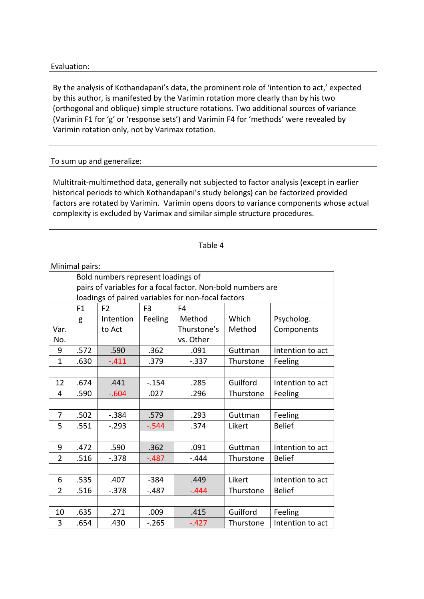### Evaluation:

By the analysis of Kothandapani's data, the prominent role of 'intention to act,' expected by this author, is manifested by the Varimin rotation more clearly than by his two (orthogonal and oblique) simple structure rotations. Two additional sources of variance (Varimin F1 for 'g' or 'response sets') and Varimin F4 for 'methods' were revealed by Varimin rotation only, not by Varimax rotation.

## To sum up and generalize:

Multitrait-multimethod data, generally not subjected to factor analysis (except in earlier historical periods to which Kothandapani's study belongs) can be factorized provided factors are rotated by Varimin. Varimin opens doors to variance components whose actual complexity is excluded by Varimax and similar simple structure procedures.

### Table 4

#### Minimal pairs:

|                |                                                             | Bold numbers represent loadings of |                |             |           |                  |  |  |  |
|----------------|-------------------------------------------------------------|------------------------------------|----------------|-------------|-----------|------------------|--|--|--|
|                | pairs of variables for a focal factor. Non-bold numbers are |                                    |                |             |           |                  |  |  |  |
|                | loadings of paired variables for non-focal factors          |                                    |                |             |           |                  |  |  |  |
|                | F <sub>1</sub>                                              | F <sub>2</sub>                     | F <sub>3</sub> | F4          |           |                  |  |  |  |
|                | g                                                           | Intention                          | Feeling        | Method      | Which     | Psycholog.       |  |  |  |
| Var.           |                                                             | to Act                             |                | Thurstone's | Method    | Components       |  |  |  |
| No.            |                                                             |                                    |                | vs. Other   |           |                  |  |  |  |
| 9              | .572                                                        | .590                               | .362           | .091        | Guttman   | Intention to act |  |  |  |
| $\mathbf{1}$   | .630                                                        | $-.411$                            | .379           | $-.337$     | Thurstone | Feeling          |  |  |  |
|                |                                                             |                                    |                |             |           |                  |  |  |  |
| 12             | .674                                                        | .441                               | $-154$         | .285        | Guilford  | Intention to act |  |  |  |
| 4              | .590                                                        | $-0.604$                           | .027           | .296        | Thurstone | Feeling          |  |  |  |
|                |                                                             |                                    |                |             |           |                  |  |  |  |
| 7              | .502                                                        | $-.384$                            | .579           | .293        | Guttman   | Feeling          |  |  |  |
| 5              | .551                                                        | $-.293$                            | $-0.544$       | .374        | Likert    | <b>Belief</b>    |  |  |  |
|                |                                                             |                                    |                |             |           |                  |  |  |  |
| 9              | .472                                                        | .590                               | .362           | .091        | Guttman   | Intention to act |  |  |  |
| $\overline{2}$ | .516                                                        | $-0.378$                           | $-.487$        | -.444       | Thurstone | <b>Belief</b>    |  |  |  |
|                |                                                             |                                    |                |             |           |                  |  |  |  |
| 6              | .535                                                        | .407                               | $-384$         | .449        | Likert    | Intention to act |  |  |  |
| $\overline{2}$ | .516                                                        | $-.378$                            | $-.487$        | $-.444$     | Thurstone | <b>Belief</b>    |  |  |  |
|                |                                                             |                                    |                |             |           |                  |  |  |  |
| 10             | .635                                                        | .271                               | .009           | .415        | Guilford  | Feeling          |  |  |  |
| 3              | .654                                                        | .430                               | $-.265$        | $-.427$     | Thurstone | Intention to act |  |  |  |